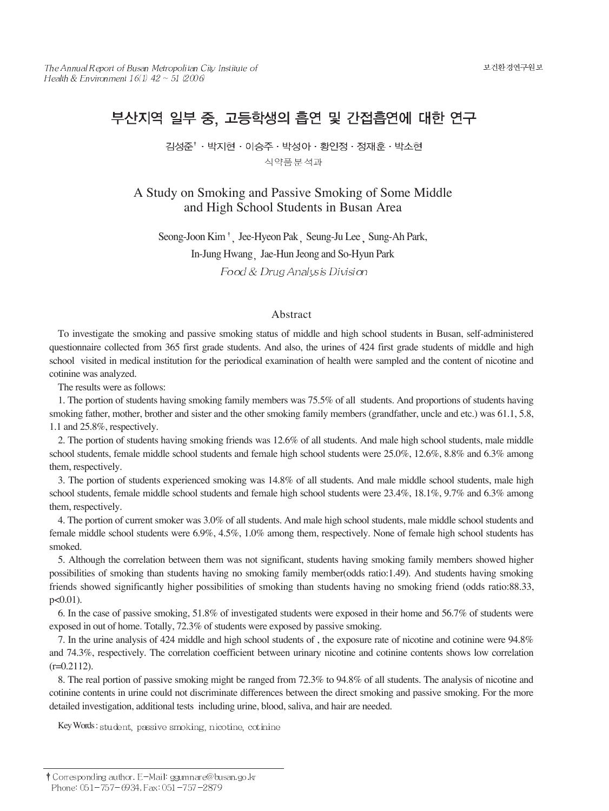# 부산지역 일부 중, 고등학생의 흡연 및 간접흡연에 대한 연구

김성준<sup>↑</sup> · 박지현 · 이승주 · 박성아 · 황인정 · 정재훈 · 박소현 식약품분석과

A Study on Smoking and Passive Smoking of Some Middle and High School Students in Busan Area

Seong-Joon Kim<sup>†</sup> Jee-Hyeon Pak Seung-Ju Lee Sung-Ah Park, In-Jung Hwang Jae-Hun Jeong and So-Hyun Park Food & Drug Analysis Division

### Abstract

To investigate the smoking and passive smoking status of middle and high school students in Busan, self-administered questionnaire collected from 365 first grade students. And also, the urines of 424 first grade students of middle and high school visited in medical institution for the periodical examination of health were sampled and the content of nicotine and cotinine was analyzed.

The results were as follows:

1. The portion of students having smoking family members was 75.5% of all students. And proportions of students having smoking father, mother, brother and sister and the other smoking family members (grandfather, uncle and etc.) was 61.1, 5.8, 1.1 and 25.8%, respectively.

2. The portion of students having smoking friends was 12.6% of all students. And male high school students, male middle school students, female middle school students and female high school students were 25.0%, 12.6%, 8.8% and 6.3% among them, respectively.

3. The portion of students experienced smoking was 14.8% of all students. And male middle school students, male high school students, female middle school students and female high school students were 23.4%, 18.1%, 9.7% and 6.3% among them, respectively.

4. The portion of current smoker was 3.0% of all students. And male high school students, male middle school students and female middle school students were 6.9%, 4.5%, 1.0% among them, respectively. None of female high school students has smoked.

5. Although the correlation between them was not significant, students having smoking family members showed higher possibilities of smoking than students having no smoking family member(odds ratio:1.49). And students having smoking friends showed significantly higher possibilities of smoking than students having no smoking friend (odds ratio:88.33, p<0.01).

6. In the case of passive smoking, 51.8% of investigated students were exposed in their home and 56.7% of students were exposed in out of home. Totally, 72.3% of students were exposed by passive smoking.

7. In the urine analysis of 424 middle and high school students of , the exposure rate of nicotine and cotinine were 94.8% and 74.3%, respectively. The correlation coefficient between urinary nicotine and cotinine contents shows low correlation  $(r=0.2112)$ .

8. The real portion of passive smoking might be ranged from 72.3% to 94.8% of all students. The analysis of nicotine and cotinine contents in urine could not discriminate differences between the direct smoking and passive smoking. For the more detailed investigation, additional tests including urine, blood, saliva, and hair are needed.

Key Words: student, passive smoking, nicotine, cotinine

<sup>†</sup> Corresponding author. E-Mail: ggumnare@busan.go.kr Phone: 051-757-6934, Fax: 051-757-2879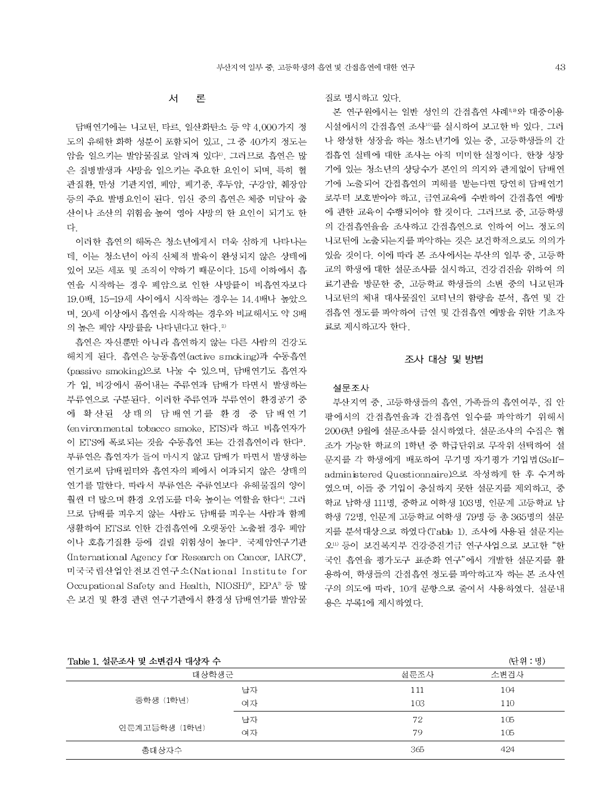#### 서 론

담배연기에는 니코틴 타르, 일산화탄소 등 약 4,000가지 정 도의 유해한 화학 성분이 포함되어 있고, 그 중 40가지 정도는 암을 일으키는 발암물질로 알려져 있다". 그러므로 흡연은 많 은 질병발생과 사망을 일으키는 주요한 요인이 되며, 특히 혈 관질환 만성 기관지염 폐암, 폐기종 후두암, 구강암 췌장암 등의 주요 발병요인이 된다. 임신 중의 흡연은 체중 미달아 출 산이나 조산의 위험을 높여 영아 사망의 한 요인이 되기도 한 다

이러한 흡연의 해독은 청소년에게서 더욱 심하게 나타나는 데. 이는 청소년이 아직 신체적 발육이 완성되지 않은 상태에 잎어 모든 세포 및 조직이 약하기 때문이다. 15세 이하에서 흠 연을 시작하는 경우 폐암으로 인한 사망률이 비흡연자보다 19.0배. 15-19세 사이에서 시작하는 경우는 14.4배나 높았으 며, 20세 이상에서 흡연을 시작하는 경우와 비교해서도 약 3배 의 높은 폐암 사망률을 나타내다고 한다. 2)

흡연은 자신뿐만 아니라 흡연하지 않는 다른 사람의 건강도 해치게 된다. 흡연은 능동흡연(active smoking)과 수동흡연 (passive smoking)으로 나눌 수 있으며, 담배연기도 흡연자 가 입, 비강에서 품어내는 주류연과 담배가 타면서 발생하는 부류연으로 구분된다. 이러한 주류연과 부류연이 환경공기 중 에 확산된 상태의 담배연기를 환경 중 담배연기 (environmental tobacco smoke, ETS)라 하고 비흡연자가 이 ETS에 폭로되는 것을 수동흡연 또는 간접흡연이라 한다<sup>3</sup>. 부류연은 흡연자가 들여 마시지 않고 담배가 타면서 발생하는 연기로써 담배필터와 흡연자의 폐에서 여과되지 않은 상태의 연기를 말한다. 따라서 부류연은 주류연보다 유해물질의 양이 훨씬 더 많으며 환경 오염도를 더욱 높이는 역할을 한다<sup>4</sup>. 그러 므로 담배를 피우지 않는 사람도 담배를 피우는 사람과 함께 생활하여 ETS로 인한 간접흡연에 오랫동안 노출될 경우 폐암 이나 호흡기질환 등에 걸릴 위험성이 높다<sup>3</sup>. 국제암연구기관 (International Agency for Research on Cancer, IARC)<sup>\*</sup>. 미국국립산업안전보건연구소(National Institute for Occupational Safety and Health, NIOSH)<sup>®</sup>, EPA<sup>®</sup> 등 많 은 보건 및 환경 관련 연구기관에서 환경성 담배연기를 발암물

### 질로 명시하고 있다.

본 연구원에서는 일반 성인의 간접흡연 사례 하와 대중이용 시설에서의 간접흡연 조사<sup>103</sup>를 실시하여 보고한 바 있다. 그러 나 왕성한 성장을 하는 청소년기에 있는 중, 고등학생들의 간 접흡연 실태에 대한 조사는 아직 미미한 실정이다. 한창 성장 기에 있는 청소년의 상당수가 본인의 의지와 관계없이 담배연 기에 노출되어 간접흡연의 피해를 받는다면 당연히 담배연기 로부터 보호받아야 하고, 금연교육에 수반하여 간접흡연 예방 에 관한 교육이 수행되어야 할 것이다. 그러므로 중, 고등학생 의 간접흡연율을 조사하고 간접흡연으로 인하여 어느 정도의 니코틴에 노출되는지를 파악하는 것은 보건학적으로도 의의가 있을 것이다. 이에 따라 본 조사에서는 부산의 일부 중. 고등학 교의 학생에 대한 설문조사를 실시하고, 건강검진을 위하여 의 료기관을 방문한 중. 고등학교 학생들의 소변 중의 니코틴과 니코틴의 체내 대사물질인 코티닌의 함량을 분석. 흡연 및 간 접흡연 정도를 파악하여 금연 및 간접흡연 예방을 위한 기초자 료로 제시하고자 한다.

### 조사 대상 및 방법

### 설문조사

부산지역 중. 고등학생들의 흡연. 가족들의 흡연여부. 집 안 팎에서의 간접흡연율과 간접흡연 일수를 파악하기 위해서 2006년 9월에 설문조사를 실시하였다. 설문조사의 수집은 협 조가 가능한 학교의 1학년 중 학급단위로 무작위 선택하여 설 문지를 각 학생에게 배포하여 무기명 자기평가 기입법(Selfadministered Questionnaire)으로 작성하게 한 후 수거하 였으며, 이들 중 기입이 충실하지 못한 설문지를 제외하고, 중 학교 남학생 111명, 중학교 여학생 103명, 인문계 고등학교 남 학생 72명, 인문계 고등학교 여학생 79명 등 총 365명의 설문 지를 분석대상으로 하였다(Table 1). 조사에 사용된 설문지는 오… 등이 보건복지부 건강증진기금 연구사업으로 보고한 "한 국인 흡연율 평가도구 표준화 연구"에서 개발한 설문지를 활 용하여, 학생들의 간접흡연 정도를 파악하고자 하는 본 조사연 구의 의도에 따라, 10개 문항으로 줄여서 사용하였다. 설문내 용은 부록1에 제시하였다.

# 

 $(1 - 0)$   $(1 + 1)$ 

| Table 1, '잘난소시' 및 소년심시' 내생시' 구 |      | (닌귀・경) |     |
|--------------------------------|------|--------|-----|
| 대상학생군                          | 설문조사 | 소변검사   |     |
|                                | 남자   | 111    | 104 |
| 중학생 (1학년)                      | 여자   | 103    | 110 |
|                                | 남자   | 72     | 105 |
| 인문계고등학생 (1학년)                  | 여자   | 79     | 105 |
| 총대상자수                          |      | 365    | 424 |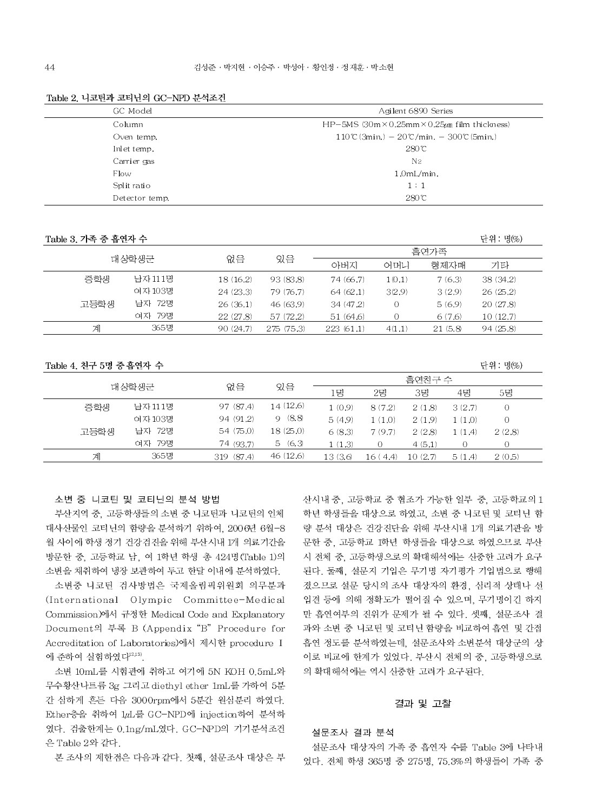| GC Model       | Agilent 6890 Series                                                       |
|----------------|---------------------------------------------------------------------------|
| Column         | HP-5MS $(30m \times 0.25mm \times 0.25 \mu m)$ film thickness)            |
| Oven temp,     | $110\textdegree$ (3min.) $-20\textdegree$ /min. $-300\textdegree$ (5min.) |
| Inlet temp.    | 280C                                                                      |
| Carrier gas    | N <sub>2</sub>                                                            |
| Flow           | 1.0mL/min.                                                                |
| Split ratio    | 1:1                                                                       |
| Detector temp. | 280C                                                                      |
|                |                                                                           |

#### Table 2. 니코틴과 코티닌의 GC-NPD 분석조건

Table 3, 가족 중 흡연자 수

| 대상학생군 |         |           |            | 흠연가족      |        |         |           |  |
|-------|---------|-----------|------------|-----------|--------|---------|-----------|--|
|       |         | 없음        | 있음         | 아버지       | 어머니    | 형제자매    | 기타        |  |
| 중학생   | 남자 111명 | 18 (16.2) | 93 (83.8)  | 74 (66.7) | 1(0.1) | 7(6.3)  | 38 (34.2) |  |
|       | 여자 103명 | 24(23.3)  | 79 (76.7)  | 64(62.1)  | 3(2.9) | 3(2.9)  | 26(25.2)  |  |
| 고등학생  | 남자 72명  | 26(36.1)  | 46 (63.9)  | 34(47.2)  |        | 5(6.9)  | 20(27.8)  |  |
|       | 여자 79명  | 22(27.8)  | 57 (72.2)  | 51 (64.6) |        | 6(7.6)  | 10(12.7)  |  |
| 계     | 365명    | 90 (24.7) | 275 (75.3) | 223(61.1) | 4(1.1) | 21(5,8) | 94(25.8)  |  |

Table 4. 친구 5명 중 흡연자 수

|       |         |               |          |         | 흡연차구 수        |         |         |           |  |
|-------|---------|---------------|----------|---------|---------------|---------|---------|-----------|--|
| 대상학생군 |         | 없음            | 있음       | 1명      | 2명            | 3명      | 4명      | 5명        |  |
| 중학생   | 남자 111명 | 97 (87.4)     | 14(12.6) | 1(0.9)  | 8(7.2)        | 2(1.8)  | 3(2.7)  | 0         |  |
|       | 여자 103명 | 94 (91.2)     | 9(8.8)   | 5(4.9)  | 1(1.0)        | 2(1.9)  | 1 (1.0) | 0         |  |
| 고등학생  | 남자 72명  | 54 (75.0)     | 18(25.0) | 6(8.3)  | 7(9.7)        | 2(2.8)  | 1 (1.4) | 2(2.8)    |  |
|       | 여자 79명  | 74 (93.7)     | 5(6,3)   | 1(1.3)  | $\Omega$      | 4(5.1)  |         | $\bigcap$ |  |
| 계     | 365명    | (87.4)<br>319 | 46(12.6) | 13(3,6) | l6 (<br>(4.4) | 10(2.7) | 5(1.4)  | 2(0.5)    |  |

소변 중 니코틴 및 코티닌의 분석 방법

부산지역 중, 고등학생들의 소변 중 니코틴과 니코틴의 인체 대사산물인 코티닌의 함량을 분석하기 위하여, 2006년 6월-8 월 사이에 학생 정기 건강검진을 위해 부산시내 1개 의료기간을 방문한 중, 고등학교 남, 여 1학년 학생 총 424명 (Table 1)의 소변을 채취하여 냉장 보관하여 두고 한달 이내에 분석하였다.

소변중 니코틴 검사방법은 국제올림픽위원회 의무분과 (International Olympic Committee-Medical Commission)에서 규정한 Medical Code and Explanatory Document의 부록 B (Appendix "B" Procedure for Accreditation of Laboratories)에서 제시한 procedure I 에 준하여 실험하였다<sup>12,13)</sup>.

소변 10mL를 시험관에 취하고 여기에 5N KOH 0.5mL와 무수황산나트륨 3g 그리고 diethyl ether 1mL를 가하여 5분 간 심하게 흔든 다음 3000rpm에서 5분간 원심분리 하였다. Ether층을 취하여 1µL를 GC-NPD에 injection하여 분석하 였다. 검출한계는 0.1ng/mL였다. GC-NPD의 기기분석조건 은 Table 2와 같다.

본 조사의 제한점은 다음과 같다. 첫째, 설문조사 대상은 부

산시내 중, 고등학교 중 협조가 가능한 일부 중, 고등학교의 1 학년 학생들을 대상으로 하였고, 소변 중 니코틴 및 코티닌 함 량 분석 대상은 건강진단을 위해 부산시내 1개 의료기관을 방 문한 중, 고등학교 1학년 학생들을 대상으로 하였으므로 부산 시 전체 중. 고등학생으로의 확대해석에는 신중한 고려가 요구 된다. 둘째, 설문지 기입은 무기명 자기평가 기입법으로 행해 졌으므로 설문 당시의 조사 대상자의 환경, 심리적 상태나 선 입견 등에 의해 정확도가 떨어질 수 있으며, 무기명이긴 하지 만 흡연여부의 진위가 문제가 될 수 있다. 셋째, 설문조사 결 과와 소변 중 니코틴 및 코티닌 함량을 비교하여 흡연 및 간접 흡연 정도를 분석하였는데, 설문조사와 소변분석 대상군의 상 이로 비교에 한계가 있었다. 부산시 전체의 중, 고등학생으로 의 확대해석에는 역시 신중한 고려가 요구된다.

단위 : 명(%)

다위 : 명(%)

# 결과 및 고찰

### 설문조사 결과 분석

설문조사 대상자의 가족 중 흡연자 수를 Table 3에 나타내 었다. 전체 학생 365명 중 275명, 75.3%의 학생들이 가족 중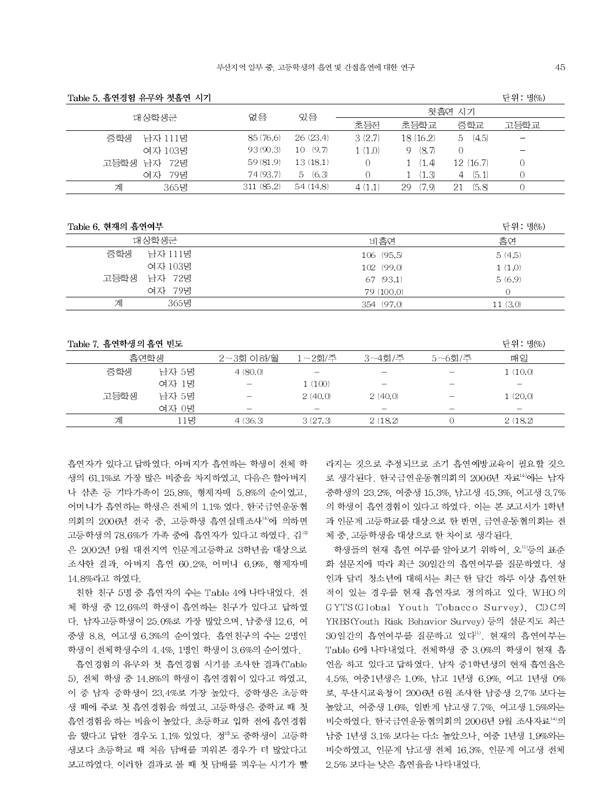| 1able 5. 급근경원 ㅠㅜㅋ 갯급된 시기 |           |          |          | 된고· 8V22              |            |      |
|--------------------------|-----------|----------|----------|-----------------------|------------|------|
| 대상학생군                    | 없음        | 있음       |          |                       | 첫흡연 시기     |      |
|                          |           |          | 초등전      | 초등학교                  | 중학교        | 고등학교 |
| 중학생<br>남자 111명           | 85(76.6)  | 26(23.4) | 3(2.7)   | 18(16.2)              | 5(4.5)     |      |
| 여자 103명                  | 93(90.3)  | 10(9.7)  | 1(1.0)   | (8.7)<br>9            |            |      |
| 고등학생<br>남자 72명           | 59(81.9)  | 13(18.1) | $\Omega$ | (1.4)                 | 12(16.7)   | 0    |
| 79명<br>여자                | 74 (93.7) | 5(6,3)   | $\Omega$ | $\langle 1.3 \rangle$ | (5.1)<br>4 | 0    |
| 365명<br>게                | 311(85.2) | 54(14.8) | 4(11)    | (7 9)<br>29           | (5.8)      |      |

Table 6. 현재의 흡연여부

초선권원 이미야 원중선 기간

| 대상학생군          | 비흡연        | 흡연      |
|----------------|------------|---------|
| 중학생<br>남자 111명 | 106 (95.5) | 5(4.5)  |
| 여자 103명        | 102 (99.0) | 1(1.0)  |
| 남자 72명<br>고등학생 | 67 (93.1)  | 5(6.9)  |
| 79명<br>여자      | 79 (100.0) |         |
| 365명<br>계      | 354 (97.0) | 11(3,0) |

| Table 7. 흡연학생의 흡연 빈도<br>단위 : 명(%) |       |           |         |             |            |         |  |  |  |  |  |
|-----------------------------------|-------|-----------|---------|-------------|------------|---------|--|--|--|--|--|
|                                   | 흠연학생  | 2~3회 이하/월 | 1~2회/주  | $3 - 4$ 회/주 | $5~-6$ 회/주 | 매일      |  |  |  |  |  |
| 중학생                               | 남자 5명 | 4(80,0)   |         |             |            | 1(10,0) |  |  |  |  |  |
|                                   | 여자 1명 |           | 1 (100) |             |            |         |  |  |  |  |  |
| 고등학생                              | 남자 5명 |           | 2(40,0) | 2(40,0)     |            | 1(20,0) |  |  |  |  |  |
|                                   | 여자 0명 | -         |         |             | –          | –       |  |  |  |  |  |
| 계                                 | .1명   | 4(36,3)   | 3(27.3) | 2(18.2)     |            | 2(18,2) |  |  |  |  |  |

흡연자가 있다고 답하였다. 아버지가 흡연하는 학생이 전체 학 생의 61.1%로 가장 많은 비중을 차지하였고, 다음은 할아버지 나 삼촌 등 기타가족이 25.8%, 형제자매 5.8%의 순이였고, 어머니가 흡연하는 학생은 전체의 1.1% 였다. 한국금연운동협 의회의 2006년 전국 중, 고등학생 흡연실태조사14)에 의하면 고등학생의 78.6%가 가족 중에 흡연자가 있다고 하였다. 김18 은 2002년 9월 대전지역 인문계고등학교 3학년을 대상으로 조사한 결과, 아버지 흡연 60.2%, 어머니 6.9%, 형제자매 14.8%라고 하였다.

친한 친구 5명 중 흡연자의 수는 Table 4에 나타내었다. 전 체 학생 중 12.6%의 학생이 흡연하는 친구가 있다고 답하였 다. 남자고등학생이 25.0%로 가장 많았으며, 남중생 12.6, 여 중생 8.8. 여고생 6.3%의 순이였다. 흡연친구의 수는 2명인 학생이 전체학생수의 4.4%, 1명인 학생이 3.6%의 순이였다.

흡연경험의 유무와 첫 흡연경험 시기를 조사한 결과(Table 5). 전체 학생 중 14.8%의 학생이 흡연경험이 있다고 하였고. 이 중 남자 중학생이 23.4%로 가장 높았다. 중학생은 초등학 생 때에 주로 첫 흡연경험을 하였고, 고등학생은 중학교 때 첫 흡연경험을 하는 비율이 높았다. 초등학교 입학 전에 흡연경험 을 했다고 답한 경우도 1.1% 있었다. 정<sup>16</sup>도 중학생이 고등학 생보다 초등학교 때 처음 담배를 피워본 경우가 더 많았다고 보고하였다. 이러한 결과로 볼 때 첫 담배를 피우는 시기가 빨 라지는 것으로 추정되므로 조기 흡연예방교육이 필요할 것으 로 생각된다. 한국금연운동협의회의 2006년 자료14)에는 남자 중학생의 23.2%, 여중생 15.3%, 남고생 45.3%, 여고생 3.7% 의 학생이 흡연경험이 있다고 하였다. 이는 본 보고서가 1학년 과 인문계 고등학교를 대상으로 한 반면, 금연운동협의회는 전 체 중, 고등학생을 대상으로 한 차이로 생각된다.

학생들의 현재 흡연 여부를 알아보기 위하여, 오<sup>m</sup>등의 표준 화 설문지에 따라 최근 30일간의 흡연여부를 질문하였다. 성 인과 달리 청소년에 대해서는 최근 한 달간 하루 이상 흡연한 적이 있는 경우를 현재 흡연자로 정의하고 있다. WHO의 GYTS(Global Youth Tobacco Survey), CDC의 YRBS(Youth Risk Behavior Survey) 등의 설문지도 최근 30일간의 흡연여부를 질문하고 있다". 현재의 흡연여부는 Table 6에 나타내었다. 전체학생 중 3.0%의 학생이 현재 흡 연을 하고 있다고 답하였다. 남자 중1학년생의 현재 흡연율은 4.5%, 여중1년생은 1.0%, 남고 1년생 6.9%, 여고 1년생 0% 로, 부산시교육청이 2006년 6월 조사한 남중생 2.7% 보다는 높았고, 여중생 1.6%, 일반계 남고생 7.7%, 여고생 1.5%와는 비슷하였다. 한국금연운동협의회의 2006년 9월 조사자료<sup>14)</sup>의 남중 1년생 3.1% 보다는 다소 높았으나, 여중 1년생 1.9%와는 비슷하였고, 인문계 남고생 전체 16.3%, 인문계 여고생 전체 2.5% 보다는 낮은 흡연율을 나타내었다.

 $r1 \text{ } \Omega \cdot \text{ } r3/\alpha \text{ } \lambda$ 

단위 : 명(%)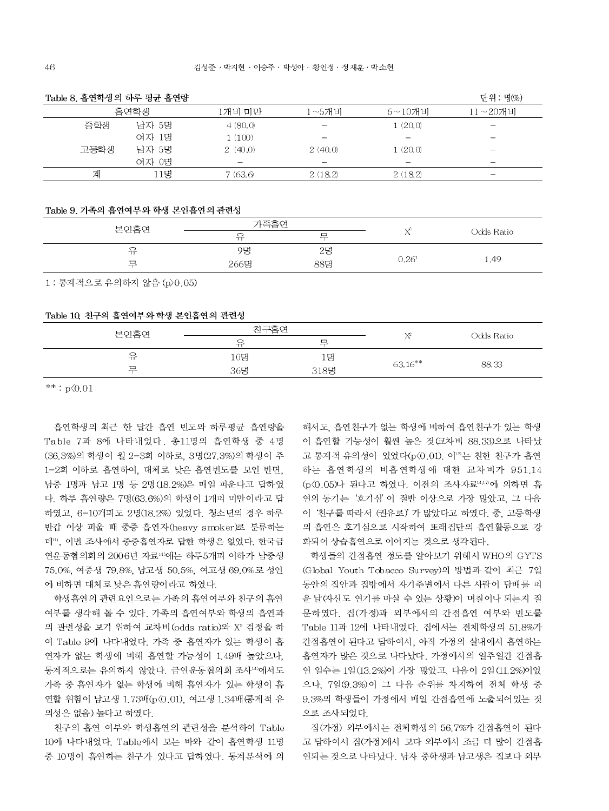| Table 8. 흡연학생의 하루 평균 흡연량 |       |                          |            |             | 단위 : 명(%)                |
|--------------------------|-------|--------------------------|------------|-------------|--------------------------|
|                          | 흡연학생  |                          | $1 - 5$ 개비 | $6 - 10$ 개비 | $11 - 20$ 개비             |
| 중학생                      | 남자 5명 | 4(80.0)                  |            | 1(20,0)     | $\overline{\phantom{0}}$ |
|                          | 여자 1명 | 1(100)                   |            |             | $\overline{\phantom{a}}$ |
| 고등학생                     | 남자 5명 | 2(40.0)                  | 2(40,0)    | 1(20,0)     | -                        |
|                          | 여자 0명 | $\overline{\phantom{a}}$ |            |             | -                        |
| 계                        | 11명   | 7(63.6)                  | 2(18.2)    | 2(18.2)     |                          |

#### Table 9. 가족의 흡연여부와 학생 본인흡연의 관련성

| 본인흡연       | 가족흡연 |         |                |            |  |
|------------|------|---------|----------------|------------|--|
|            | 유    | ᄆ<br>-- | $\rightarrow$  | Odds Ratio |  |
| っ<br>refer | 9명   | 25      |                |            |  |
| □<br>-     | 266명 | 88명     | $0.26^{\circ}$ | 1.49       |  |
|            |      |         |                |            |  |

1 : 통계적으로 유의하지 않음 (p>0.05)

### Table 10, 친구의 흡연여부와 학생 본인흡연의 관련성

|         | 친구흡연        |    |            |            |  |
|---------|-------------|----|------------|------------|--|
| 본인흡연    | 유           | 戸  | 172        | Odds Ratio |  |
| っ<br>π  | 10B         | 1명 |            |            |  |
| ▭<br>-- | 318명<br>36명 |    | $63.16***$ | 88.33      |  |
|         |             |    |            |            |  |

 $**: p \, 0.01$ 

흡연학생의 최근 한 달간 흡연 빈도와 하루평균 흡연량을 Table 7과 8에 나타내었다. 총11명의 흡연학생 중 4명 (36.3%)의 학생이 월 2-3회 이하로, 3명(27.3%)의 학생이 주 1-2회 이하로 흡연하여, 대체로 낮은 흡연빈도를 보인 반면. 남중 1명과 남고 1명 등 2명(18.2%)은 매일 피운다고 답하였 다. 하루 흡연량은 7명(63.6%)의 학생이 1개피 미만이라고 답 하였고, 6-10개피도 2명(18.2%) 있었다. 청소년의 경우 하루 반갑 이상 피울 때 중증 흡연자(heavy smoker)로 분류하는 데11), 이번 조사에서 중증흡연자로 답한 학생은 없었다. 한국금 연운동협의회의 2006년 자료14)에는 하루5개피 이하가 남중생 75.0%, 여중생 79.8%, 남고생 50.5%, 여고생 69.0%로 성인 에 비하면 대체로 낮은 흡연량이라고 하였다.

학생흡연의 관련요인으로는 가족의 흡연여부와 친구의 흡연 여부를 생각해 볼 수 있다. 가족의 흡연여부와 학생의 흡연과 의 관련성을 보기 위하여 교차비 (odds ratio)와 X2 검정을 하 여 Table 9에 나타내었다. 가족 중 흡연자가 있는 학생이 흡 연자가 없는 학생에 비해 흡연할 가능성이 1.49배 높았으나, 통계적으로는 유의하지 않았다. 금연운동협의회 조사14)에서도 가족 중 흡연자가 없는 학생에 비해 흡연자가 있는 학생이 흡 연할 위험이 남고생 1.73배(p (0.01), 여고생 1.34배 (통계적 유 의성은 없음) 높다고 하였다.

친구의 흡연 여부와 학생흡연의 관련성을 분석하여 Table 10에 나타내었다. Table에서 보는 바와 같이 흡연학생 11명 중 10명이 흡연하는 친구가 있다고 답하였다. 통계분석에 의

해서도, 흡연친구가 없는 학생에 비하여 흡연친구가 있는 학생 이 흡연할 가능성이 훨씬 높은 것(교차비 88.33)으로 나타났 고 통계적 유의성이 있었다(p<0.01). 이10는 친한 친구가 흡연 하는 흡연학생의 비흡연학생에 대한 교차비가 951.14 (p<0.05)나 된다고 하였다. 이전의 조사자료14,10에 의하면 흡 연의 동기는 '호기심' 이 절반 이상으로 가장 많았고, 그 다음 이 '친구를 따라서 (권유로)' 가 많았다고 하였다. 중, 고등학생 의 흡연은 호기심으로 시작하여 또래집단의 흡연활동으로 강 화되어 상습흡연으로 이어지는 것으로 생각된다.

학생들의 간접흡연 정도를 알아보기 위해서 WHO의 GYTS (Global Youth Tobacco Survey)의 방법과 같이 최근 7일 동안의 집안과 집밖에서 자기주변에서 다른 사람이 담배를 피 운 날(자신도 연기를 마실 수 있는 상황)이 며칠이나 되는지 질 문하였다. 집(가정)과 외부에서의 간접흡연 여부와 빈도를 Table 11과 12에 나타내었다. 집에서는 전체학생의 51.8%가 간접흡연이 된다고 답하여서. 아직 가정의 실내에서 흡연하는 흡연자가 많은 것으로 나타났다. 가정에서의 일주일간 간접흡 연 일수는 1일(13.2%)이 가장 많았고. 다음이 2일(11.2%)이었 으나, 7일(9.3%)이 그 다음 순위를 차지하여 전체 학생 중 9.3%의 학생들이 가정에서 매일 간접흡연에 노출되어있는 것 으로 조사되었다.

집(가정) 외부에서는 전체학생의 56.7%가 가접흡연이 된다. 고 답하여서 집(가정)에서 보다 외부에서 조금 더 많이 간접흡 연되는 것으로 나타났다. 남자 중학생과 남고생은 집보다 외부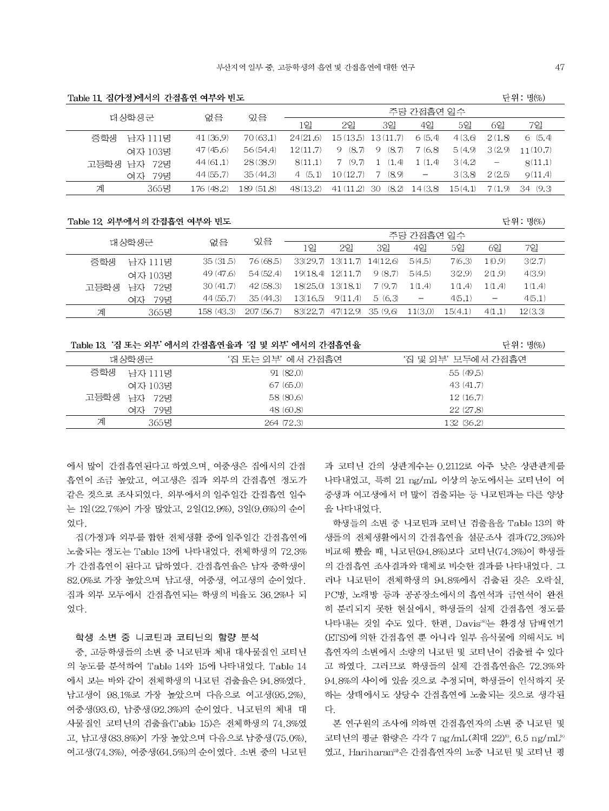| Table 11, 집(가정)에서의 간접흡연 여부와 빈도 |  |  |  |  |  |
|--------------------------------|--|--|--|--|--|
|--------------------------------|--|--|--|--|--|

| 대상학생군 |                   | 주당 간접흡연 일수<br>있음<br>없음 |            |          |          |              |                          |         |         |          |
|-------|-------------------|------------------------|------------|----------|----------|--------------|--------------------------|---------|---------|----------|
|       |                   |                        |            | 1일       | 2일       | 3일           | 4일                       | 5일      | 6일      | 7일       |
|       | 중학생<br>남자 111명    | 41(36.9)               | 70(63.1)   | 24(21.6) | 15(13.5) | 13(11.7)     | 6 (5.4)                  | 4(3,6)  | 2(1.8)  | 6(5,4)   |
|       | 여자 103명           | 47(45.6)               | 56(54.4)   | 12(117)  | 9(8.7)   | (8.7)<br>-9. | 7(6.8)                   | 5(4.9)  | 3(2.9)  | 11(10.7) |
|       | 72명<br>고등학생<br>남자 | 44(61.1)               | 28(38.9)   | 8(11.1)  | 7(9.7)   | (1.4)        | 1(1.4)                   | 3(4.2)  |         | 8(11.1)  |
|       | 79명<br>여자         | 44(55.7)               | 35(44.3)   | 4(5.1)   | 10(12.7) | (8.9)        | $\overline{\phantom{m}}$ | 3(3.8)  | 2(2.5)  | 9(11.4)  |
|       | 365명<br>계         | 176 (48.2)             | 189 (51.8) | 48(13.2) | 41(11.2) | (8.2)<br>30  | 14(3.8)                  | 15(4,1) | 7 (1.9) | 34(9.3)  |
|       |                   |                        |            |          |          |              |                          |         |         |          |

#### Table 12 외부에서 의 간접흡연 여부와 빈도

| 대상학생군 |           |            |            | 주당 간접흡연 일수 |                            |           |         |         |                   |         |
|-------|-----------|------------|------------|------------|----------------------------|-----------|---------|---------|-------------------|---------|
|       |           | 없음         | 있음         | 1일         | 2 <sup>2</sup>             | 3일        | 4일      | 5일      | 6일                | 7일      |
| 중학생   | 남자 111명   | 35(31.5)   | 76 (68.5)  |            | 33(29.7) 13(11.7) 14(12.6) |           | 5(4.5)  | 7(6.3)  | 1(0.9)            | 3(2.7)  |
|       | 여자 103명   | 49 (47.6)  | 54(524)    | 19(18.4)   | 12(11.7)                   | 9 (8.7)   | 5(4.5)  | 3(2.9)  | 2(1.9)            | 4(3.9)  |
| 고등학생  | 남자<br>72명 | 30(41.7)   | 42(58.3)   |            | $18(25.0)$ $13(18.1)$      | 7 (9.7)   | 1(1.4)  | 1(1.4)  | 1(1.4)            | 1(1.4)  |
|       | 79명<br>여자 | 44(55.7)   | 35(44.3)   | 13(16.5)   | 9(11.4)                    | 5(6.3)    |         | 4(5.1)  | $\qquad \qquad -$ | 4(5.1)  |
| 계     | 365명      | 158 (43.3) | 207 (56.7) | 83(22.7)   | 47(12.9)                   | -35 (9.6) | 11(3.0) | 15(4.1) | 4(1.1)            | 12(3,3) |

Table 13 '집 또는 외부' 에서의 간접흡연율과 '집 및 외부' 에서의 간접흡연율

단위 : 명(%)

단위 : 명(%)

| 대상학생군 |           | '집 또는 외부' 에서 간접흡연. | '집 및 외부' 모두에서 간접흡연 |
|-------|-----------|--------------------|--------------------|
| 중학생   | 남자 111명   | 91 (82.0)          | 55(49.5)           |
|       | 여자 103명   | 67(65.0)           | 43(41.7)           |
| 고등학생  | 남자 72명    | 58 (80.6)          | 12(16.7)           |
|       | 79명<br>여자 | 48 (60.8)          | 22(27.8)           |
| 계     | 365명      | 264 (72.3)         | 132 (36.2)         |

에서 많이 간접흡연된다고 하였으며, 여중생은 집에서의 간접 흡연이 조금 높았고, 여고생은 집과 외부의 간접흡연 정도가 같은 것으로 조사되었다. 외부에서의 일주일간 간접흡연 일수 는 1일 (22.7%)이 가장 많았고, 2일(12.9%), 3일(9.6%)의 순이 었다.

집(가정)과 외부를 합한 전체생활 중에 일주일간 간접흡연에 노출되는 정도는 Table 13에 나타내었다. 전체학생의 72.3% 가 간접흡연이 된다고 답하였다. 간접흡연율은 남자 중학생이 82.0%로 가장 높았으며 남고생, 여중생, 여고생의 순이었다. 집과 외부 모두에서 간접흡연되는 학생의 비율도 36.2%나 되 엎다

### 학생 소변 중 니코틴과 코티닌의 함량 분석

중. 고등학생들의 소변 중 니코틴과 체내 대사물질인 코티닌 의 농도를 분석하여 Table 14와 15에 나타내었다. Table 14 에서 보는 바와 같이 전체학생의 니코틴 검출율은 94.8%였다. 남고생이 98.1%로 가장 높았으며 다음으로 여고생(95.2%). 여중생(93.6), 남중생(92.3%)의 순이었다. 니코틴의 체내 대 사물질인 코티닌의 검출율(Table 15)은 전체학생의 74.3%였 고, 남고생(83.8%)이 가장 높았으며 다음으로 남중생(75.0%), 여고생(74.3%), 여중생(64.5%)의 순이였다. 소변 중의 니코틴 과 코티닌 간의 상관계수는 0.2112로 아주 낮은 상관관계를 나타내었고, 특히 21 ng/mL 이상의 농도에서는 코티닌이 여 중생과 여고생에서 더 많이 검출되는 등 니코틴과는 다른 양상 을 나타내었다.

학생들의 소변 중 니코틴과 코티닌 검출율을 Table 13의 학 생들의 전체생활에서의 간접흡연율 설문조사 결과(72.3%)와 비교해 봤을 때, 니코틴(94.8%)보다 코티닌(74.3%)이 학생들 의 간접흡연 조사결과와 대체로 비슷한 결과를 나타내었다. 그 러나 니코틴이 전체학생의 94.8%에서 검출된 것은 오락실. PC방, 노래방 등과 공공장소에서의 흡연석과 금연석이 완전 히 분리되지 못한 현실에서, 학생들의 실제 간접흡연 정도를 나타내는 것일 수도 있다. 한편, Davis<sup>18</sup>는 환경성 담배연기 (ETS)에 의한 간접흡연 뿐 아니라 일부 음식물에 의해서도 비 흡연자의 소변에서 소량의 니코틴 및 코티닌이 검출될 수 있다 고 하였다. 그러므로 학생들의 실제 간접흡연율은 72.3%와 94.8%의 사이에 있을 것으로 추정되며, 학생들이 인식하지 못 하는 상태에서도 상당수 간접흡연에 노출되는 것으로 생각된 다.

본 연구원의 조사에 의하면 간접흡연자의 소변 중 니코틴 및 코티닌의 평균 함량은 각각 7 ng/mL(최대 22)<sup>8)</sup>, 6.5 ng/mL<sup>9)</sup> 였고, Hariharan19은 간접흡연자의 뇨중 니코틴 및 코티닌 평

47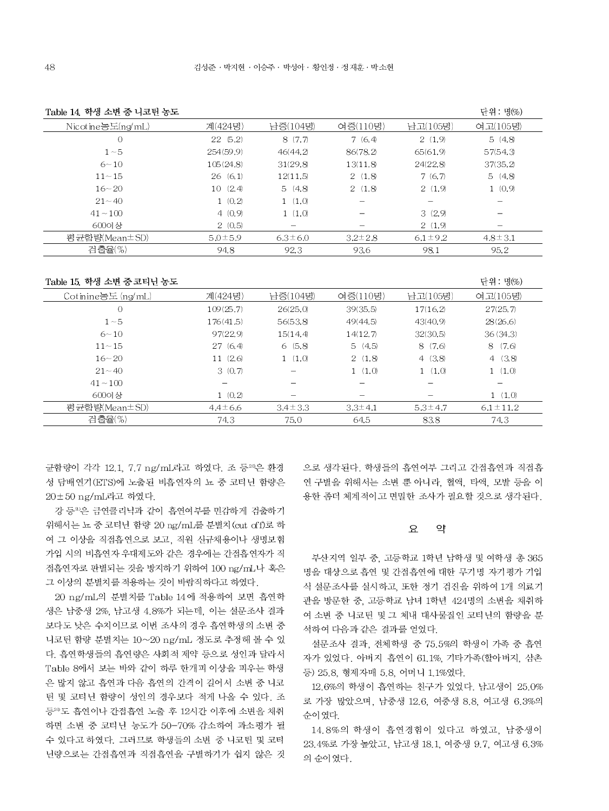| Table 14 학생 소변 중 니코틴 농도 |               |                          |               |               | 단위 : 명(%)     |
|-------------------------|---------------|--------------------------|---------------|---------------|---------------|
| $N$ ic ot ine농도(ng/mL)  | 계(424명)       | 남중(104명)                 | 여중(110명)      | 남고(105명)      | 여고(105명)      |
| $\overline{0}$          | 22(5.2)       | 8(7,7)                   | 7(6,4)        | 2(1.9)        | 5(4.8)        |
| $1 - 5$                 | 254(59.9)     | 46(44.2)                 | 86(78.2)      | 65(61.9)      | 57(54.3)      |
| $6 - 10$                | 105(24.8)     | 31(29.8)                 | 13(11.8)      | 24(22.8)      | 37(35.2)      |
| $11 - 15$               | 26(6.1)       | 12(11.5)                 | 2(1.8)        | 7(6,7)        | 5(4.8)        |
| $16 - 20$               | 10(2.4)       | 5(4.8)                   | 2(1.8)        | 2(1,9)        | 1(0,9)        |
| $21 - 40$               | 1(0,2)        | 1(1,0)                   |               |               |               |
| $41 - 100$              | 4(0,9)        | 1(1,0)                   |               | 3(2,9)        |               |
| 600이상                   | 2(0.5)        | $\overline{\phantom{0}}$ |               | 2(1,9)        |               |
| 평균함량(Mean±SD)           | $5.0 \pm 5.9$ | $6.3 \pm 6.0$            | $3.2 \pm 2.8$ | $6.1 \pm 9.2$ | $4.8 \pm 3.1$ |
| 검출율(%)                  | 94.8          | 92.3                     | 93.6          | 98.1          | 95.2          |

Table 15 학생 소변 중 코티닌 농도

| Table 15, 학생 소변 중 코티닌 농도 |               |               |               |               | 단위 : 명(%)      |
|--------------------------|---------------|---------------|---------------|---------------|----------------|
| Cotinine농도 $(ng/mL)$     | 계(424명)       | 남중(104명)      | 여중(110명)      | 남고(105명)      | 여고(105명)       |
| 0                        | 109(25.7)     | 26(25.0)      | 39(35.5)      | 17(16.2)      | 27(25.7)       |
| $1 - 5$                  | 176(41.5)     | 56(53.8)      | 49(44.5)      | 43(40.9)      | 28(26.6)       |
| $6 - 10$                 | 97(22.9)      | 15(14.4)      | 14(12.7)      | 32(30.5)      | 36(34.3)       |
| $11 - 15$                | 27(6.4)       | 6(5,8)        | 5(4.5)        | 8(7.6)        | (7.6)<br>8.    |
| $16 - 20$                | 11(2.6)       | 1(1,0)        | 2(1.8)        | 4(3,8)        | 4(3.8)         |
| $21 - 40$                | 3(0,7)        |               | 1(1,0)        | 1(1,0)        | 1(1,0)         |
| $41 - 100$               |               |               |               |               |                |
| 600이상                    | 1(0,2)        |               |               |               | 1(1,0)         |
| 평 균함량(Mean±SD)           | $4.4 \pm 6.6$ | $3.4 \pm 3.3$ | $3.3 \pm 4.1$ | $5.3 \pm 4.7$ | $6.1 \pm 11.2$ |
| 검출율(%)                   | 74.3          | 75.0          | 64.5          | 83.8          | 74.3           |

균함량이 각각 12.1, 7.7 ng/mL라고 하였다. 조 등<sup>20</sup>은 환경 성 담배연기 (ETS)에 노출된 비흡연자의 뇨 중 코티닌 함량은 20±50 ng/mL라고 하였다.

강 등<sup>20</sup>은 금연클리닉과 같이 흡연여부를 민감하게 검출하기 위해서는 뇨 중 코티닌 함량 20 ng/mL를 분별치 (cut off)로 하 여 그 이상을 직접흡연으로 보고, 직원 신규채용이나 생명보험 가입 시의 비흡연자 우대제도와 같은 경우에는 간접흡연자가 직 접흡연자로 판별되는 것을 방지하기 위하여 100 ng/mL나 혹은 그 이상의 분별치를 적용하는 것이 바람직하다고 하였다.

20 ng/mL의 분별치를 Table 14에 적용하여 보면 흡연학 생은 남중생 2%, 남고생 4.8%가 되는데, 이는 설문조사 결과 보다도 낮은 수치이므로 이번 조사의 경우 흡연학생의 소변 중 니코틴 함량 분별치는 10~20 ng/mL 정도로 추정해 볼 수 있 다. 흡연학생들의 흡연량은 사회적 제약 등으로 성인과 달라서 Table 8에서 보는 바와 같이 하루 한개피 이상을 피우는 학생 은 많지 않고 흡연과 다음 흡연의 간격이 길어서 소변 중 니코 틴 및 코티닌 함량이 성인의 경우보다 적게 나올 수 있다. 조 등20도 흡연이나 간접흡연 노출 후 12시간 이후에 소변을 채취 하면 소변 중 코티닌 농도가 50-70% 감소하여 과소평가 될 수 있다고 하였다. 그러므로 학생들의 소변 중 니코틴 및 코티 닌량으로는 간접흡연과 직접흡연을 구별하기가 쉽지 않은 것 으로 생각된다. 학생들의 흡연여부 그리고 간접흡연과 직접흡 연 구별을 위해서는 소변 뿐 아니라, 혈액, 타액, 모발 등을 이 용한 좀더 체계적이고 면밀한 조사가 필요할 것으로 생각된다.

#### $\Omega$ 약

부산지역 일부 중, 고등학교 1학년 남학생 및 여학생 총 365 명을 대상으로 흡연 및 간접흡연에 대한 무기명 자기평가 기입 식 설문조사를 실시하고, 또한 정기 검진을 위하여 1개 의료기 관을 방문한 중, 고등학교 남녀 1학년 424명의 소변을 채취하 여 소변 중 니코틴 및 그 체내 대사물질인 코티닌의 함량을 분 석하여 다음과 같은 결과를 얻었다.

설문조사 결과, 전체학생 중 75.5%의 학생이 가족 중 흡연 자가 있었다. 아버지 흡연이 61.1%, 기타가족(할아버지, 삼촌 등) 25.8, 형제자매 5.8, 어머니 1.1%였다.

12.6%의 학생이 흡연하는 친구가 있었다. 남고생이 25.0% 로 가장 많았으며, 남중생 12.6, 여중생 8.8, 여고생 6.3%의 순이 였다.

14.8%의 학생이 흡연경험이 있다고 하였고, 남중생이 23.4%로 가장 높았고, 남고생 18.1, 여중생 9.7, 여고생 6.3% 의 순이였다.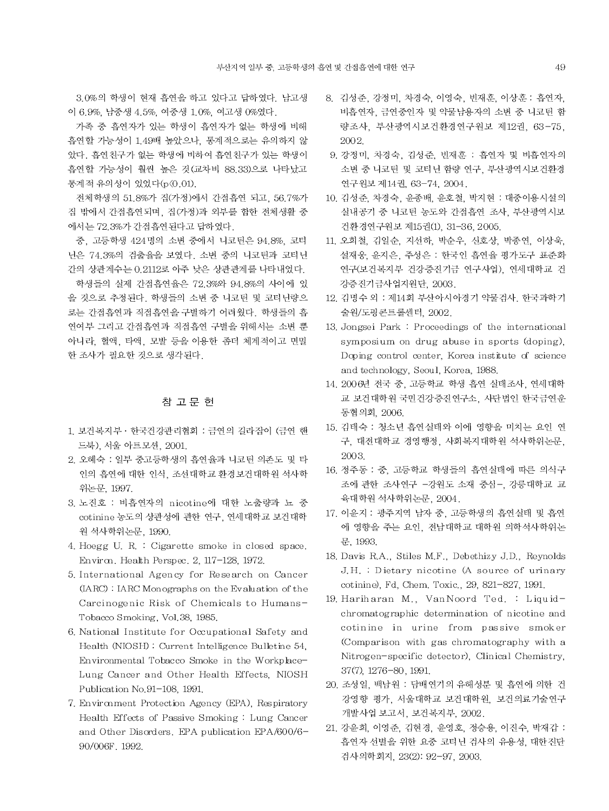3.0%의 학생이 현재 흡연을 하고 있다고 답하였다. 남고생 이 6.9%, 남중생 4.5%, 여중생 1.0%, 여고생 0%였다.

가족 중 흡연자가 있는 학생이 흡연자가 없는 학생에 비해 흡연할 가능성이 1.49배 높았으나, 통계적으로는 유의하지 않 았다. 흡연친구가 없는 학생에 비하여 흡연친구가 있는 학생이 흡연할 가능성이 훨씬 높은 것 (교차비 88.33)으로 나타났고 통계적 유의성이 있었다(p<0.01).

전체학생의 51.8%가 집(가정)에서 간접흡연 되고, 56.7%가 집 밖에서 간접흡연되며, 집(가정)과 외부를 합한 전체생활 중 에서는 72.3%가 간접흡연된다고 답하였다.

중, 고등학생 424명의 소변 중에서 니코틴은 94.8%, 코티 닌은 74.3%의 검출율을 보였다. 소변 중의 니코틴과 코티닌 간의 상관계수는 0.2112로 아주 낮은 상관관계를 나타내었다.

학생들의 실제 간접흡연율은 72.3%와 94.8%의 사이에 있 을 것으로 추정된다. 학생들의 소변 중 니코틴 및 코티닌량으 로는 간접흡연과 직접흡연을 구별하기 어려웠다. 학생들의 흡 연여부 그리고 간접흡연과 직접흡연 구별을 위해서는 소변 뿐 아니라. 혈액. 타액. 모발 등을 이용한 좀더 체계적이고 면밀 한 조사가 필요한 것으로 생각된다.

# 참 고 문 헌

- 1. 보건복지부 · 한국건강관리협회 : 금연의 길라잡이 (금연 핸 드북), 서울 아트모션, 2001.
- 2. 오혜숙 : 일부 중고등학생의 흡연율과 니코틴 의존도 및 타 인의 흡연에 대한 인식, 조선대학교 환경보건대학원 석사학 위논문, 1997.
- 3. 노진호 : 비흡연자의 nicotine에 대한 노출량과 뇨 중 cotinine 농도의 상관성에 관한 연구, 연세대학교 보건대학 원 석사학위논문, 1990.
- 4. Hoegg U. R. : Cigarette smoke in closed space. Environ. Health Perspec. 2, 117-128, 1972.
- 5. International Agency for Research on Cancer (IARC): IARC Monographs on the Evaluation of the Carcinogenic Risk of Chemicals to Humans-Tobacco Smoking, Vol.38, 1985.
- 6. National Institute for Occupational Safety and Health (NIOSH): Current Intelligence Bulletine 54, Environmental Tobacco Smoke in the Workplace-Lung Cancer and Other Health Effects, NIOSH Publication No.91-108, 1991.
- 7. Environment Protection Agency (EPA), Respiratory Health Effects of Passive Smoking: Lung Cancer and Other Disorders. EPA publication EPA/600/6-90/006F. 1992.
- 8. 김성준, 강정미, 차경숙, 이영숙, 빈재훈, 이상훈 : 흡연자, 비흡연자, 금연중인자 및 약물남용자의 소변 중 니코틴 함 량조사, 부산광역시보건환경연구원보 제12권, 63-75, 2002
- 9. 강정미, 차경숙, 김성준, 빈재훈 : 흡연자 및 비흡연자의 소변 중 니코틴 및 코티닌 함량 연구, 부산광역시보건환경 연구원보 제14권, 63-74, 2004.
- 10. 김성준, 차경숙, 윤종배, 윤호철, 박지현 : 대중이용시설의 실내공기 중 니코틴 농도와 간접흡연 조사, 부산광역시보 건환경연구원보 제15권(1), 31-36, 2005.
- 11. 오희철, 김일순, 지선하, 박순우, 신호상, 박종연, 이상욱, 설재웅, 윤지은, 주성은 : 한국인 흡연율 평가도구 표준화 연구(보건복지부 건강증진기금 연구사업), 연세대학교 건 강증진기금사업지원단, 2003.
- 12. 김명수 외 : 제14회 부산아시아경기 약물검사. 한국과학기 술원/도핑콘트롤센터, 2002.
- 13. Jongsei Park : Proceedings of the international symposium on drug abuse in sports (doping), Doping control center, Korea institute of science and technology, Seoul, Korea, 1988.
- 14. 2006년 전국 중, 고등학교 학생 흡연 실태조사, 연세대학 교 보건대학원 국민건강증진연구소, 사단법인 한국금연운 동협의회 2006.
- 15. 김태숙 : 청소년 흡연실태와 이에 영향을 미치는 요인 연 구, 대전대학교 경영행정, 사회복지대학원 석사학위논문, 2003.
- 16. 정주동 : 중. 고등학교 학생들의 흡연실태에 따른 의식구 조에 관한 조사연구 -강원도 소재 중심-, 강릉대학교 교 육대학원 석사학위논문, 2004.
- 17. 이윤지 : 광주지역 남자 중, 고등학생의 흡연실태 및 흡연 에 영향을 주는 요인, 전남대학교 대학원 의학석사학위논 문, 1993.
- 18. Davis R.A., Stiles M.F., Debethizy J.D., Reynolds J.H. : Dietary nicotine (A source of urinary cotinine), Fd, Chem. Toxic., 29, 821-827, 1991.
- 19. Hariharan M., VanNoord Ted. : Liquidchromatographic determination of nicotine and cotinine in urine from passive smoker (Comparison with gas chromatography with a Nitrogen-specific detector), Clinical Chemistry, 37(7), 1276-80, 1991.
- 20. 조성일, 백남원 : 담배연기의 유해성분 및 흡연에 의한 건 강영향 평가, 서울대학교 보건대학원, 보건의료기술연구 개발사업 보고서, 보건복지부, 2002.
- 21. 강윤희, 이영준, 김현경, 윤영호, 정승용, 이진수, 박재갑 : 흡연자 선별을 위한 요중 코티닌 검사의 유용성, 대한진단 검사의학회지, 23(2): 92-97, 2003.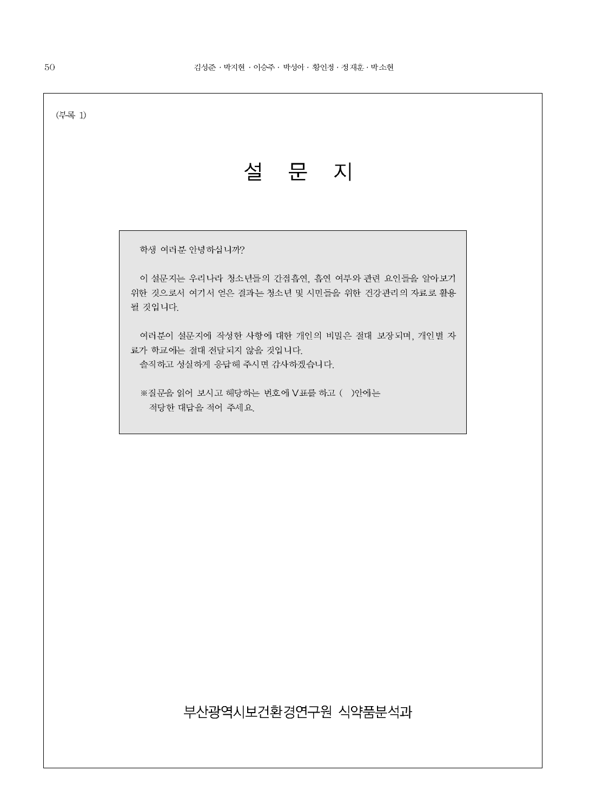| (부록 1) |                                                                                                         |  |  |  |  |  |
|--------|---------------------------------------------------------------------------------------------------------|--|--|--|--|--|
|        | 설 문 지                                                                                                   |  |  |  |  |  |
|        |                                                                                                         |  |  |  |  |  |
|        | 학생 여러분 안녕하십니까?                                                                                          |  |  |  |  |  |
|        | 이 설문지는 우리나라 청소년들의 간접흡연, 흡연 여부와 관련 요인들을 알아보기<br>위한 것으로서 여기서 얻은 결과는 청소년 및 시민들을 위한 건강관리의 자료로 활용<br>될 것입니다. |  |  |  |  |  |
|        | 여러분이 설문지에 작성한 사항에 대한 개인의 비밀은 절대 보장되며, 개인별 자<br>료가 학교에는 절대 전달되지 않을 것입니다.<br>솔직하고 성실하게 응답해 주시면 감사하겠습니다.   |  |  |  |  |  |
|        | ※질문을 읽어 보시고 해당하는 번호에 V표를 하고 ( )안에는<br>적당한 대답을 적어 주세요.                                                   |  |  |  |  |  |
|        |                                                                                                         |  |  |  |  |  |
|        |                                                                                                         |  |  |  |  |  |
|        |                                                                                                         |  |  |  |  |  |
|        |                                                                                                         |  |  |  |  |  |
|        |                                                                                                         |  |  |  |  |  |
|        |                                                                                                         |  |  |  |  |  |
|        |                                                                                                         |  |  |  |  |  |
|        | 부산광역시보건환경연구원 식약품분석과                                                                                     |  |  |  |  |  |